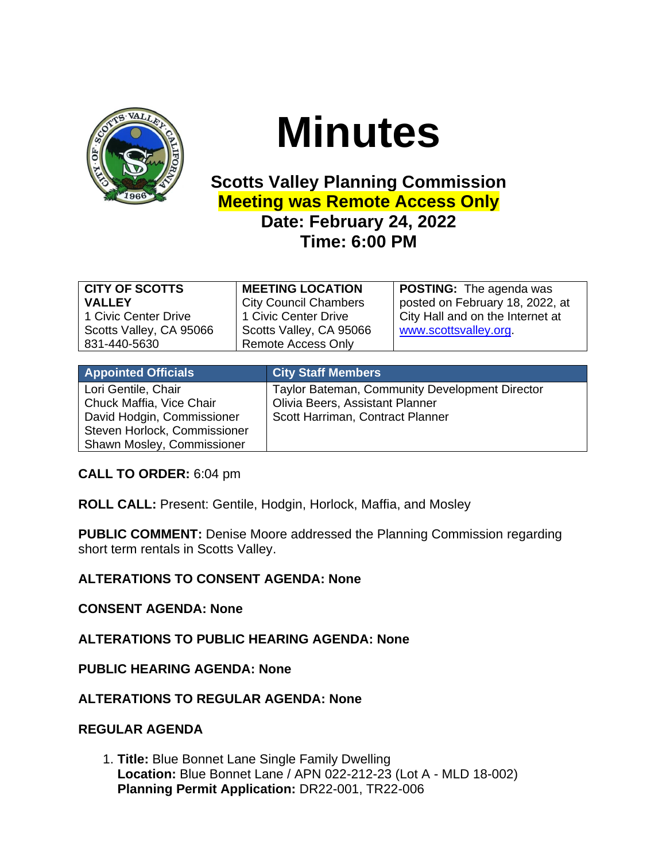

# **Minutes**

# **Scotts Valley Planning Commission Meeting was Remote Access Only Date: February 24, 2022 Time: 6:00 PM**

| <b>Remote Access Only</b><br>831-440-5630 | <b>CITY OF SCOTTS</b><br><b>VALLEY</b><br>1 Civic Center Drive<br>Scotts Valley, CA 95066 | <b>MEETING LOCATION</b><br><b>City Council Chambers</b><br>1 Civic Center Drive<br>Scotts Valley, CA 95066 | <b>POSTING:</b> The agenda was<br>posted on February 18, 2022, at<br>City Hall and on the Internet at<br>www.scottsvalley.org |
|-------------------------------------------|-------------------------------------------------------------------------------------------|------------------------------------------------------------------------------------------------------------|-------------------------------------------------------------------------------------------------------------------------------|
|-------------------------------------------|-------------------------------------------------------------------------------------------|------------------------------------------------------------------------------------------------------------|-------------------------------------------------------------------------------------------------------------------------------|

| <b>Appointed Officials</b>                                                                                                                  | <b>City Staff Members</b>                                                                                             |
|---------------------------------------------------------------------------------------------------------------------------------------------|-----------------------------------------------------------------------------------------------------------------------|
| Lori Gentile, Chair<br>Chuck Maffia, Vice Chair<br>David Hodgin, Commissioner<br>Steven Horlock, Commissioner<br>Shawn Mosley, Commissioner | Taylor Bateman, Community Development Director<br>Olivia Beers, Assistant Planner<br>Scott Harriman, Contract Planner |

# **CALL TO ORDER:** 6:04 pm

**ROLL CALL:** Present: Gentile, Hodgin, Horlock, Maffia, and Mosley

**PUBLIC COMMENT:** Denise Moore addressed the Planning Commission regarding short term rentals in Scotts Valley.

# **ALTERATIONS TO CONSENT AGENDA: None**

#### **CONSENT AGENDA: None**

# **ALTERATIONS TO PUBLIC HEARING AGENDA: None**

**PUBLIC HEARING AGENDA: None**

# **ALTERATIONS TO REGULAR AGENDA: None**

#### **REGULAR AGENDA**

1. **Title:** Blue Bonnet Lane Single Family Dwelling **Location:** Blue Bonnet Lane / APN 022-212-23 (Lot A - MLD 18-002) **Planning Permit Application:** DR22-001, TR22-006